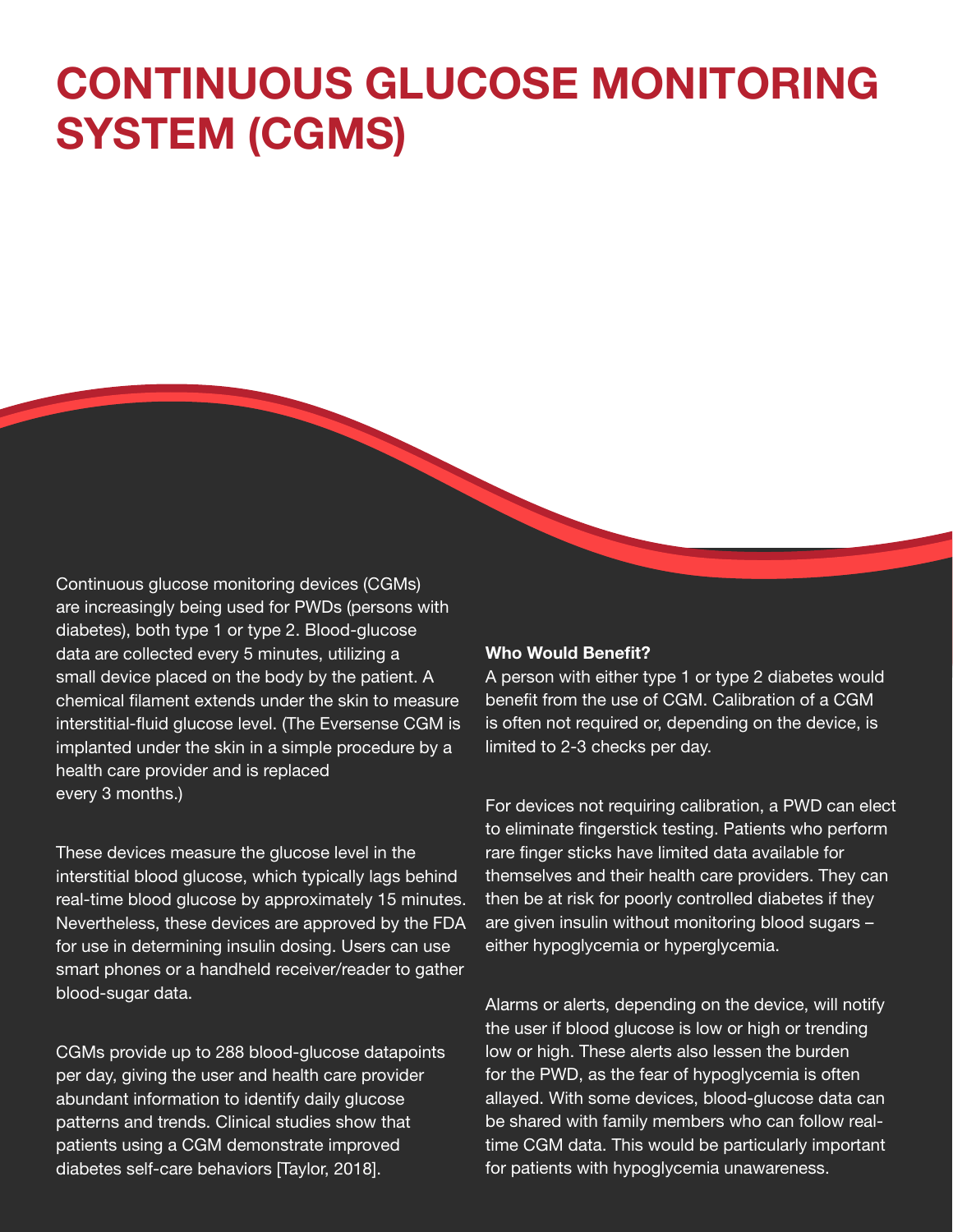# **CONTINUOUS GLUCOSE MONITORING SYSTEM (CGMS)**

Continuous glucose monitoring devices (CGMs) are increasingly being used for PWDs (persons with diabetes), both type 1 or type 2. Blood-glucose data are collected every 5 minutes, utilizing a small device placed on the body by the patient. A chemical filament extends under the skin to measure interstitial-fluid glucose level. (The Eversense CGM is implanted under the skin in a simple procedure by a health care provider and is replaced every 3 months.)

These devices measure the glucose level in the interstitial blood glucose, which typically lags behind real-time blood glucose by approximately 15 minutes. Nevertheless, these devices are approved by the FDA for use in determining insulin dosing. Users can use smart phones or a handheld receiver/reader to gather blood-sugar data.

CGMs provide up to 288 blood-glucose datapoints per day, giving the user and health care provider abundant information to identify daily glucose patterns and trends. Clinical studies show that patients using a CGM demonstrate improved diabetes self-care behaviors [Taylor, 2018].

#### Who Would Benefit?

A person with either type 1 or type 2 diabetes would benefit from the use of CGM. Calibration of a CGM is often not required or, depending on the device, is limited to 2-3 checks per day.

For devices not requiring calibration, a PWD can elect to eliminate fingerstick testing. Patients who perform rare finger sticks have limited data available for themselves and their health care providers. They can then be at risk for poorly controlled diabetes if they are given insulin without monitoring blood sugars – either hypoglycemia or hyperglycemia.

Alarms or alerts, depending on the device, will notify the user if blood glucose is low or high or trending low or high. These alerts also lessen the burden for the PWD, as the fear of hypoglycemia is often allayed. With some devices, blood-glucose data can be shared with family members who can follow realtime CGM data. This would be particularly important for patients with hypoglycemia unawareness.